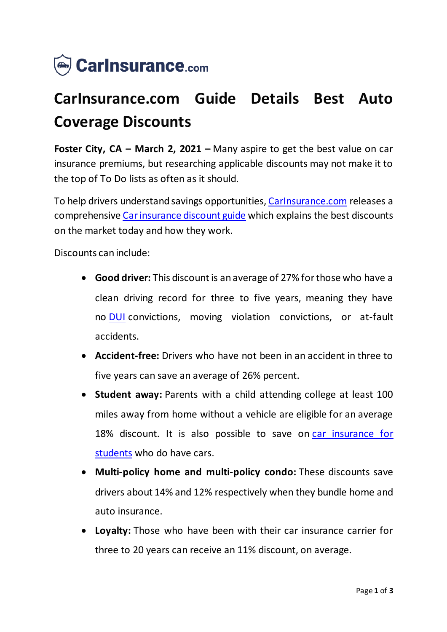

## **CarInsurance.com Guide Details Best Auto Coverage Discounts**

**Foster City, CA – March 2, 2021 –** Many aspire to get the best value on car insurance premiums, but researching applicable discounts may not make it to the top of To Do lists as often as it should.

To help drivers understand savings opportunities, [CarInsurance.com](https://www.carinsurance.com/) releases a comprehensive [Car insurance discount guide](https://www.carinsurance.com/discounts.aspx) which explains the best discounts on the market today and how they work.

Discounts can include:

- **Good driver:** This discount is an average of 27% for those who have a clean driving record for three to five years, meaning they have no [DUI](https://www.carinsurance.com/Articles/dui-insurance.aspx) convictions, moving violation convictions, or at-fault accidents.
- **Accident-free:** Drivers who have not been in an accident in three to five years can save an average of 26% percent.
- **Student away:** Parents with a child attending college at least 100 miles away from home without a vehicle are eligible for an average 18% discount. It is also possible to save on [car insurance for](https://www.carinsurance.com/Articles/car-insurance-for-college-students.aspx)  [students](https://www.carinsurance.com/Articles/car-insurance-for-college-students.aspx) who do have cars.
- **Multi-policy home and multi-policy condo:** These discounts save drivers about 14% and 12% respectively when they bundle home and auto insurance.
- **Loyalty:** Those who have been with their car insurance carrier for three to 20 years can receive an 11% discount, on average.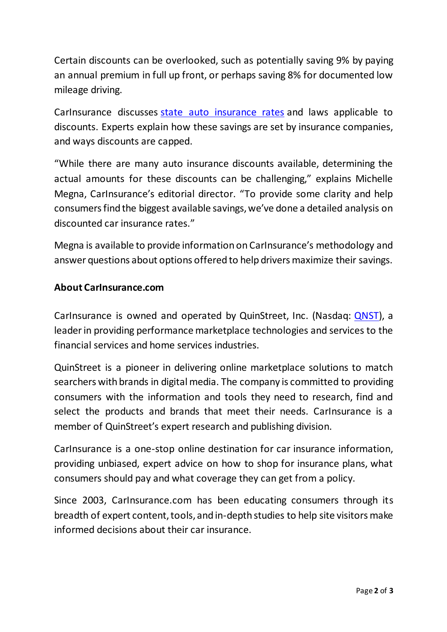Certain discounts can be overlooked, such as potentially saving 9% by paying an annual premium in full up front, or perhaps saving 8% for documented low mileage driving.

CarInsurance discusses [state auto insurance rates](https://www.carinsurance.com/state-car-insurance-rates) and laws applicable to discounts. Experts explain how these savings are set by insurance companies, and ways discounts are capped.

"While there are many auto insurance discounts available, determining the actual amounts for these discounts can be challenging," explains Michelle Megna, CarInsurance's editorial director. "To provide some clarity and help consumers find the biggest available savings, we've done a detailed analysis on discounted car insurance rates."

Megna is available to provide information on CarInsurance's methodology and answer questions about options offered to help drivers maximize their savings.

## **About CarInsurance.com**

CarInsurance is owned and operated by QuinStreet, Inc. (Nasdaq: [QNST\)](https://www.nasdaq.com/market-activity/stocks/qnst), a leader in providing performance marketplace technologies and services to the financial services and home services industries.

QuinStreet is a pioneer in delivering online marketplace solutions to match searchers with brands in digital media. The company is committed to providing consumers with the information and tools they need to research, find and select the products and brands that meet their needs. CarInsurance is a member of QuinStreet's expert research and publishing division.

CarInsurance is a one-stop online destination for car insurance information, providing unbiased, expert advice on how to shop for insurance plans, what consumers should pay and what coverage they can get from a policy.

Since 2003, CarInsurance.com has been educating consumers through its breadth of expert content, tools, and in-depth studies to help site visitors make informed decisions about their car insurance.